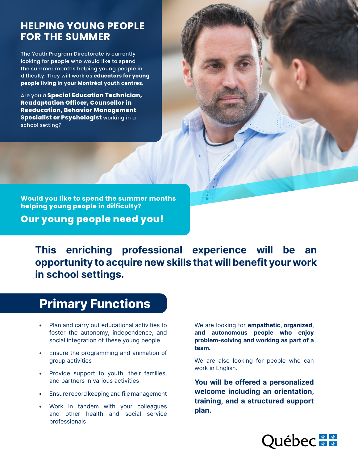### **HELPING YOUNG PEOPLE FOR THE SUMMER**

The Youth Program Directorate is currently looking for people who would like to spend the summer months helping young people in difficulty. They will work as **educators for young people living in your Montréal youth centres.**

Are you a **Special Education Technician, Readaptation Officer, Counsellor in Reeducation, Behavior Management Specialist or Psychologist** working in a school setting?

**Would you like to spend the summer months helping young people in difficulty? Our young people need you!**

This enriching professional experience will be an opportunity to acquire new skills that will benefit your work in school settings.

# Primary Functions

- Plan and carry out educational activities to foster the autonomy, independence, and social integration of these young people
- Ensure the programming and animation of group activities
- Provide support to youth, their families, and partners in various activities
- Ensure record keeping and file management
- Work in tandem with your colleagues and other health and social service professionals

We are looking for **empathetic**, organized, and autonomous people who enjoy problem-solving and working as part of a team.

We are also looking for people who can work in English.

You will be offered a personalized welcome including an orientation, training, and a structured support plan.

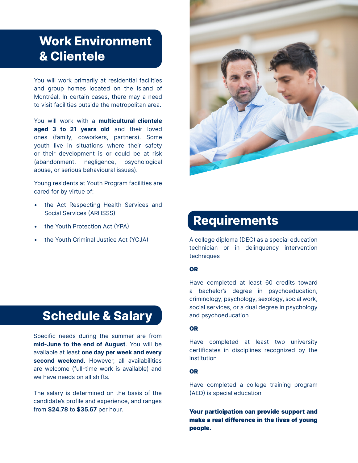# Work Environment & Clientele

You will work primarily at residential facilities and group homes located on the Island of Montréal. In certain cases, there may a need to visit facilities outside the metropolitan area.

You will work with a **multicultural clientele** aged 3 to 21 years old and their loved ones (family, coworkers, partners). Some youth live in situations where their safety or their development is or could be at risk (abandonment, negligence, psychological abuse, or serious behavioural issues).

Young residents at Youth Program facilities are cared for by virtue of:

- the Act Respecting Health Services and Social Services (ARHSSS)
- the Youth Protection Act (YPA)
- 

# Schedule & Salary

Specific needs during the summer are from mid-June to the end of August. You will be available at least one day per week and every second weekend. However, all availabilities are welcome (full-time work is available) and we have needs on all shifts.

The salary is determined on the basis of the candidate's profile and experience, and ranges from \$24.78 to \$35.67 per hour.



## Requirements

• the Youth Criminal Justice Act (YCJA) A college diploma (DEC) as a special education technician or in delinquency intervention techniques

#### OR

Have completed at least 60 credits toward a bachelor's degree in psychoeducation, criminology, psychology, sexology, social work, social services, or a dual degree in psychology and psychoeducation

#### OR

Have completed at least two university certificates in disciplines recognized by the institution

#### OR

Have completed a college training program (AED) is special education

Your participation can provide support and make a real difference in the lives of young people.